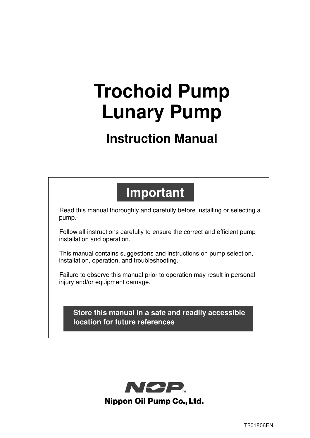# **Trochoid Pump Lunary Pump**

# **Instruction Manual**

# **Important**

Read this manual thoroughly and carefully before installing or selecting a pump.

Follow all instructions carefully to ensure the correct and efficient pump installation and operation.

This manual contains suggestions and instructions on pump selection, installation, operation, and troubleshooting.

Failure to observe this manual prior to operation may result in personal injury and/or equipment damage.

**Store this manual in a safe and readily accessible location for future references** 

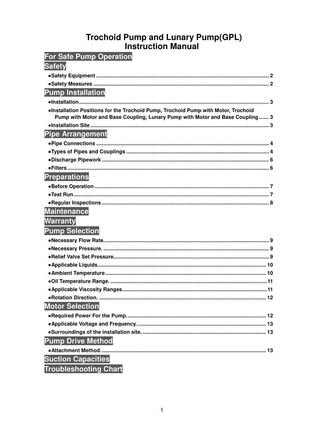# Trochoid Pump and Lunary Pump(GPL)<br>Instruction Manual

| <b>For Safe Pump Operation</b>                                                     |  |
|------------------------------------------------------------------------------------|--|
| <b>Safety</b>                                                                      |  |
|                                                                                    |  |
|                                                                                    |  |
| <b>Pump Installation</b>                                                           |  |
|                                                                                    |  |
| . Installation Positions for the Trochoid Pump, Trochoid Pump with Motor, Trochoid |  |
| Pump with Motor and Base Coupling, Lunary Pump with Motor and Base Coupling 3      |  |
|                                                                                    |  |
| <b>Pipe Arrangement</b>                                                            |  |
|                                                                                    |  |
|                                                                                    |  |
|                                                                                    |  |
|                                                                                    |  |
| <b>Preparations</b>                                                                |  |
|                                                                                    |  |
|                                                                                    |  |
|                                                                                    |  |
| <b>Maintenance</b>                                                                 |  |
| <b>Warranty</b>                                                                    |  |
| <b>Pump Selection</b>                                                              |  |
|                                                                                    |  |
|                                                                                    |  |
|                                                                                    |  |
|                                                                                    |  |
|                                                                                    |  |
|                                                                                    |  |
|                                                                                    |  |
|                                                                                    |  |
| <b>Motor Selection</b>                                                             |  |
|                                                                                    |  |
|                                                                                    |  |
|                                                                                    |  |
| <b>Pump Drive Method</b>                                                           |  |
|                                                                                    |  |
| <b>Suction Capacities</b>                                                          |  |
| Troublochooting Chart                                                              |  |

**Troubleshooting Chart**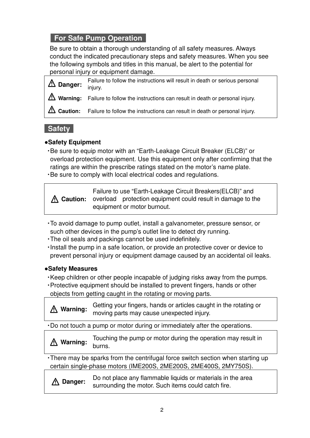# **For Safe Pump Operation**

Be sure to obtain a thorough understanding of all safety measures. Always conduct the indicated precautionary steps and safety measures. When you see the following symbols and titles in this manual, be alert to the potential for personal injury or equipment damage.

**Danger:** Failure to follow the instructions will result in death or serious personal injury. **Warning:** Failure to follow the instructions can result in death or personal injury. **Caution:** Failure to follow the instructions can result in death or personal injury.

# **Safety**

# **●Safety Equipment**

・Be sure to equip motor with an "Earth-Leakage Circuit Breaker (ELCB)" or overload protection equipment. Use this equipment only after confirming that the ratings are within the prescribe ratings stated on the motor's name plate. ・Be sure to comply with local electrical codes and regulations.

**Caution:** Failure to use "Earth-Leakage Circuit Breakers(ELCB)" and overload protection equipment could result in damage to the equipment or motor burnout.

- ・To avoid damage to pump outlet, install a galvanometer, pressure sensor, or such other devices in the pump's outlet line to detect dry running.
- ・The oil seals and packings cannot be used indefinitely.
- ・Install the pump in a safe location, or provide an protective cover or device to prevent personal injury or equipment damage caused by an accidental oil leaks.

# **●Safety Measures**

- ・Keep children or other people incapable of judging risks away from the pumps.
- ・Protective equipment should be installed to prevent fingers, hands or other objects from getting caught in the rotating or moving parts.

**Warning:** Getting your fingers, hands or articles caught in the rotating or moving parts may cause unexpected injury.

・Do not touch a pump or motor during or immediately after the operations.

**Warning:** Touching the pump or motor during the operation may result in burns.

・There may be sparks from the centrifugal force switch section when starting up certain single-phase motors (IME200S, 2ME200S, 2ME400S, 2MY750S).

**Danger:** Do not place any flammable liquids or materials in the area surrounding the motor. Such items could catch fire.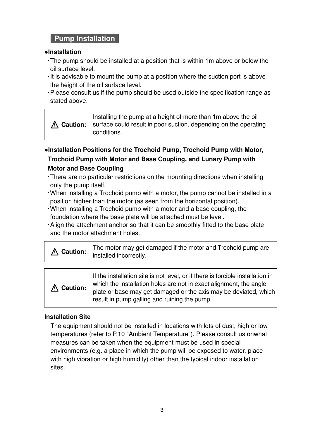# **Pump Installation**

#### **●Installation**

- ・The pump should be installed at a position that is within 1m above or below the oil surface level.
- ・It is advisable to mount the pump at a position where the suction port is above the height of the oil surface level.
- ・Please consult us if the pump should be used outside the specification range as stated above.

**Caution:** Installing the pump at a height of more than 1m above the oil surface could result in poor suction, depending on the operating conditions.

**●Installation Positions for the Trochoid Pump, Trochoid Pump with Motor, Trochoid Pump with Motor and Base Coupling, and Lunary Pump with Motor and Base Coupling** 

- ・There are no particular restrictions on the mounting directions when installing only the pump itself.
- ・When installing a Trochoid pump with a motor, the pump cannot be installed in a position higher than the motor (as seen from the horizontal position).
- ・When installing a Trochoid pump with a motor and a base coupling, the foundation where the base plate will be attached must be level.
- ・Align the attachment anchor so that it can be smoothly fitted to the base plate and the motor attachment holes.

|  | The motor may get damaged if the motor and Trochoid pump are<br><b><i>M</i></b> Caution: installed incorrectly. |
|--|-----------------------------------------------------------------------------------------------------------------|
|--|-----------------------------------------------------------------------------------------------------------------|

| A Caution: | If the installation site is not level, or if there is forcible installation in<br>which the installation holes are not in exact alignment, the angle<br>plate or base may get damaged or the axis may be deviated, which |
|------------|--------------------------------------------------------------------------------------------------------------------------------------------------------------------------------------------------------------------------|
|            | result in pump galling and ruining the pump.                                                                                                                                                                             |

# **Installation Site**

The equipment should not be installed in locations with lots of dust, high or low temperatures (refer to P.10 "Ambient Temperature"). Please consult us onwhat measures can be taken when the equipment must be used in special environments (e.g. a place in which the pump will be exposed to water, place with high vibration or high humidity) other than the typical indoor installation sites.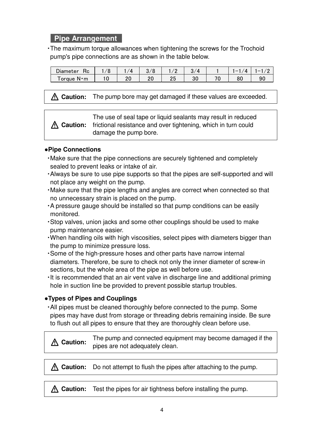# **Pipe Arrangement**

・The maximum torque allowances when tightening the screws for the Trochoid pump's pipe connections are as shown in the table below.

| $J$ lameter<br>≺с | $\mathcal{L}$ | U | $\prime$ |    |  |
|-------------------|---------------|---|----------|----|--|
| orque N·m         |               |   | vv.      | ou |  |

**Caution:** The pump bore may get damaged if these values are exceeded.

**Caution:** The use of seal tape or liquid sealants may result in reduced frictional resistance and over tightening, which in turn could damage the pump bore.

## **●Pipe Connections**

- ・Make sure that the pipe connections are securely tightened and completely sealed to prevent leaks or intake of air.
- ・Always be sure to use pipe supports so that the pipes are self-supported and will not place any weight on the pump.
- ・Make sure that the pipe lengths and angles are correct when connected so that no unnecessary strain is placed on the pump.
- ・A pressure gauge should be installed so that pump conditions can be easily monitored.
- ・Stop valves, union jacks and some other couplings should be used to make pump maintenance easier.
- ・When handling oils with high viscosities, select pipes with diameters bigger than the pump to minimize pressure loss.
- ・Some of the high-pressure hoses and other parts have narrow internal diameters. Therefore, be sure to check not only the inner diameter of screw-in sections, but the whole area of the pipe as well before use.
- ・It is recommended that an air vent valve in discharge line and additional priming hole in suction line be provided to prevent possible startup troubles.

# **●Types of Pipes and Couplings**

・All pipes must be cleaned thoroughly before connected to the pump. Some pipes may have dust from storage or threading debris remaining inside. Be sure to flush out all pipes to ensure that they are thoroughly clean before use.

**Caution:** The pump and connected equipment may become damaged if the pipes are not adequately clean.

**Caution:** Do not attempt to flush the pipes after attaching to the pump.

**Caution:** Test the pipes for air tightness before installing the pump.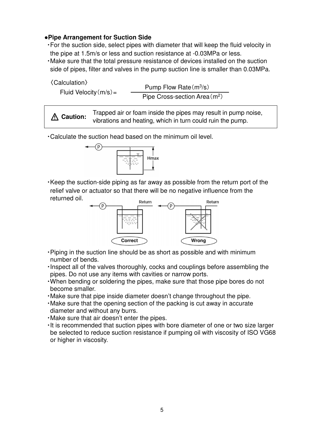#### **●Pipe Arrangement for Suction Side**

- ・For the suction side, select pipes with diameter that will keep the fluid velocity in the pipe at 1.5m/s or less and suction resistance at -0.03MPa or less.
- ・Make sure that the total pressure resistance of devices installed on the suction side of pipes, filter and valves in the pump suction line is smaller than 0.03MPa.

| <b>〈Calculation</b> 〉 |
|-----------------------|
|-----------------------|

Fluid Velocity $(m/s)$ =

Pump Flow Rate (m<sup>3</sup>/s) Pipe Cross-section Area (m<sup>2)</sup>

**Caution:** Trapped air or foam inside the pipes may result in pump noise, vibrations and heating, which in turn could ruin the pump.

・Calculate the suction head based on the minimum oil level.



・Keep the suction-side piping as far away as possible from the return port of the relief valve or actuator so that there will be no negative influence from the returned oil.



- ・Piping in the suction line should be as short as possible and with minimum number of bends.
- ・Inspect all of the valves thoroughly, cocks and couplings before assembling the pipes. Do not use any items with cavities or narrow ports.
- ・When bending or soldering the pipes, make sure that those pipe bores do not become smaller.
- ・Make sure that pipe inside diameter doesn't change throughout the pipe.
- ・Make sure that the opening section of the packing is cut away in accurate diameter and without any burrs.
- ・Make sure that air doesn't enter the pipes.
- ・It is recommended that suction pipes with bore diameter of one or two size larger be selected to reduce suction resistance if pumping oil with viscosity of ISO VG68 or higher in viscosity.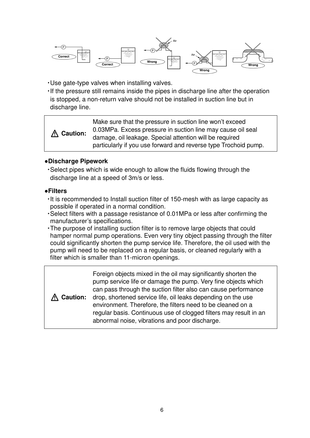

・Use gate-type valves when installing valves.

・If the pressure still remains inside the pipes in discharge line after the operation is stopped, a non-return valve should not be installed in suction line but in discharge line.

**Caution:** Make sure that the pressure in suction line won't exceed 0.03MPa. Excess pressure in suction line may cause oil seal damage, oil leakage. Special attention will be required particularly if you use forward and reverse type Trochoid pump.

#### **●Discharge Pipework**

・Select pipes which is wide enough to allow the fluids flowing through the discharge line at a speed of 3m/s or less.

#### **●Filters**

- ・It is recommended to Install suction filter of 150-mesh with as large capacity as possible if operated in a normal condition.
- ・Select filters with a passage resistance of 0.01MPa or less after confirming the manufacturer's specifications.
- ・The purpose of installing suction filter is to remove large objects that could hamper normal pump operations. Even very tiny object passing through the filter could significantly shorten the pump service life. Therefore, the oil used with the pump will need to be replaced on a regular basis, or cleaned regularly with a filter which is smaller than 11-micron openings.

**Caution:** Foreign objects mixed in the oil may significantly shorten the pump service life or damage the pump. Very fine objects which can pass through the suction filter also can cause performance drop, shortened service life, oil leaks depending on the use environment. Therefore, the filters need to be cleaned on a regular basis. Continuous use of clogged filters may result in an abnormal noise, vibrations and poor discharge.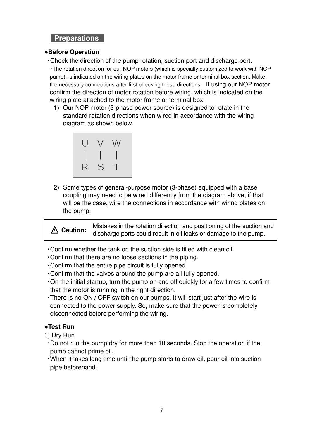# **Preparations**

#### **●Before Operation**

・Check the direction of the pump rotation, suction port and discharge port.

・The rotation direction for our NOP motors (which is specially customized to work with NOP pump), is indicated on the wiring plates on the motor frame or terminal box section. Make the necessary connections after first checking these directions. If using our NOP motor confirm the direction of motor rotation before wiring, which is indicated on the wiring plate attached to the motor frame or terminal box.

1) Our NOP motor (3-phase power source) is designed to rotate in the standard rotation directions when wired in accordance with the wiring diagram as shown below.



2) Some types of general-purpose motor (3-phase) equipped with a base coupling may need to be wired differently from the diagram above, if that will be the case, wire the connections in accordance with wiring plates on the pump.

**Caution:** Mistakes in the rotation direction and positioning of the suction and  $\sum_{n=1}^{\infty}$ discharge ports could result in oil leaks or damage to the pump.

- ・Confirm whether the tank on the suction side is filled with clean oil.
- ・Confirm that there are no loose sections in the piping.
- ・Confirm that the entire pipe circuit is fully opened.
- ・Confirm that the valves around the pump are all fully opened.
- ・On the initial startup, turn the pump on and off quickly for a few times to confirm that the motor is running in the right direction.
- ・There is no ON / OFF switch on our pumps. It will start just after the wire is connected to the power supply. So, make sure that the power is completely disconnected before performing the wiring.

#### **●Test Run**

- 1) Dry Run
- ・Do not run the pump dry for more than 10 seconds. Stop the operation if the pump cannot prime oil.
- ・When it takes long time until the pump starts to draw oil, pour oil into suction pipe beforehand.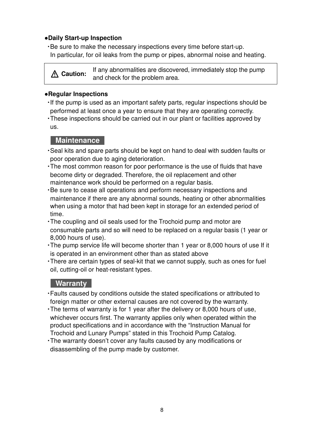#### **●Daily Start-up Inspection**

・Be sure to make the necessary inspections every time before start-up. In particular, for oil leaks from the pump or pipes, abnormal noise and heating.

**Caution:** If any abnormalities are discovered, immediately stop the pump and check for the problem area.

#### **●Regular Inspections**

- ・If the pump is used as an important safety parts, regular inspections should be performed at least once a year to ensure that they are operating correctly.
- ・These inspections should be carried out in our plant or facilities approved by us.

# **Maintenance**

- ・Seal kits and spare parts should be kept on hand to deal with sudden faults or poor operation due to aging deterioration.
- ・The most common reason for poor performance is the use of fluids that have become dirty or degraded. Therefore, the oil replacement and other maintenance work should be performed on a regular basis.
- ・Be sure to cease all operations and perform necessary inspections and maintenance if there are any abnormal sounds, heating or other abnormalities when using a motor that had been kept in storage for an extended period of time.
- ・The coupling and oil seals used for the Trochoid pump and motor are consumable parts and so will need to be replaced on a regular basis (1 year or 8,000 hours of use).
- ・The pump service life will become shorter than 1 year or 8,000 hours of use If it is operated in an environment other than as stated above
- ・There are certain types of seal-kit that we cannot supply, such as ones for fuel oil, cutting-oil or heat-resistant types.

# **Warranty**

- ・Faults caused by conditions outside the stated specifications or attributed to foreign matter or other external causes are not covered by the warranty.
- ・The terms of warranty is for 1 year after the delivery or 8,000 hours of use, whichever occurs first. The warranty applies only when operated within the product specifications and in accordance with the "Instruction Manual for Trochoid and Lunary Pumps" stated in this Trochoid Pump Catalog.
- ・The warranty doesn't cover any faults caused by any modifications or disassembling of the pump made by customer.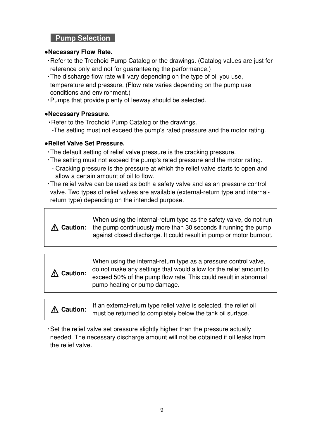# **Pump Selection**

#### **●Necessary Flow Rate.**

- ・Refer to the Trochoid Pump Catalog or the drawings. (Catalog values are just for reference only and not for guaranteeing the performance.)
- ・The discharge flow rate will vary depending on the type of oil you use, temperature and pressure. (Flow rate varies depending on the pump use conditions and environment.)
- ・Pumps that provide plenty of leeway should be selected.

## **●Necessary Pressure.**

・Refer to the Trochoid Pump Catalog or the drawings. -The setting must not exceed the pump's rated pressure and the motor rating.

# **●Relief Valve Set Pressure.**

- ・The default setting of relief valve pressure is the cracking pressure.
- ・The setting must not exceed the pump's rated pressure and the motor rating.
	- Cracking pressure is the pressure at which the relief valve starts to open and allow a certain amount of oil to flow.
- ・The relief valve can be used as both a safety valve and as an pressure control valve. Two types of relief valves are available (external-return type and internalreturn type) depending on the intended purpose.

**Caution:** When using the internal-return type as the safety valve, do not run the pump continuously more than 30 seconds if running the pump against closed discharge. It could result in pump or motor burnout.

| $\Lambda$ Caution: | When using the internal-return type as a pressure control valve,<br>do not make any settings that would allow for the relief amount to<br>exceed 50% of the pump flow rate. This could result in abnormal |
|--------------------|-----------------------------------------------------------------------------------------------------------------------------------------------------------------------------------------------------------|
|                    | pump heating or pump damage.                                                                                                                                                                              |

**Caution:** If an external-return type relief valve is selected, the relief oil must be returned to completely below the tank oil surface.

・Set the relief valve set pressure slightly higher than the pressure actually needed. The necessary discharge amount will not be obtained if oil leaks from the relief valve.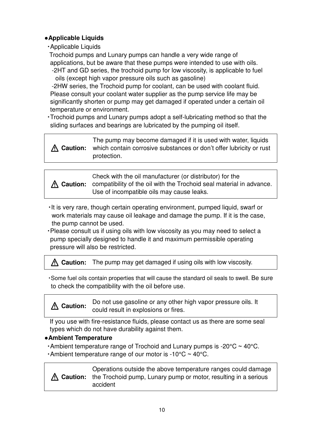# **●Applicable Liquids**

・Applicable Liquids

Trochoid pumps and Lunary pumps can handle a very wide range of applications, but be aware that these pumps were intended to use with oils. -2HT and GD series, the trochoid pump for low viscosity, is applicable to fuel

oils (except high vapor pressure oils such as gasoline)

-2HW series, the Trochoid pump for coolant, can be used with coolant fluid. Please consult your coolant water supplier as the pump service life may be significantly shorten or pump may get damaged if operated under a certain oil temperature or environment.

・Trochoid pumps and Lunary pumps adopt a self-lubricating method so that the sliding surfaces and bearings are lubricated by the pumping oil itself.

**Caution:** The pump may become damaged if it is used with water, liquids which contain corrosive substances or don't offer lubricity or rust protection.

**Caution:** compatibility of the oil with the Trochoid seal material in advance. Check with the oil manufacturer (or distributor) for the Use of incompatible oils may cause leaks.

- ・It is very rare, though certain operating environment, pumped liquid, swarf or work materials may cause oil leakage and damage the pump. If it is the case, the pump cannot be used.
- ・Please consult us if using oils with low viscosity as you may need to select a pump specially designed to handle it and maximum permissible operating pressure will also be restricted.

**Caution:** The pump may get damaged if using oils with low viscosity.

・Some fuel oils contain properties that will cause the standard oil seals to swell. Be sure to check the compatibility with the oil before use.

**Caution:** Do not use gasoline or any other high vapor pressure oils. It could result in explosions or fires.

If you use with fire-resistance fluids, please contact us as there are some seal types which do not have durability against them.

# **●Ambient Temperature**

• Ambient temperature range of Trochoid and Lunary pumps is  $-20^{\circ}C \sim 40^{\circ}C$ . • Ambient temperature range of our motor is -10 $\degree$ C ~ 40 $\degree$ C.

**Caution:** the Trochoid pump, Lunary pump or motor, resulting in a serious Operations outside the above temperature ranges could damage accident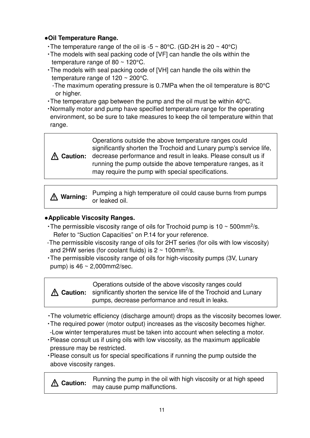# ●**Oil Temperature Range.**

- The temperature range of the oil is -5  $\sim$  80°C. (GD-2H is 20  $\sim$  40°C)
- ・The models with seal packing code of [VF] can handle the oils within the temperature range of 80 ~ 120°C.
- ・The models with seal packing code of [VH] can handle the oils within the temperature range of 120 ~ 200°C.

-The maximum operating pressure is 0.7MPa when the oil temperature is 80°C or higher.

- ・The temperature gap between the pump and the oil must be within 40°C.
- ・Normally motor and pump have specified temperature range for the operating environment, so be sure to take measures to keep the oil temperature within that range.



**Caution:** decrease performance and result in leaks. Please consult us if Operations outside the above temperature ranges could significantly shorten the Trochoid and Lunary pump's service life, running the pump outside the above temperature ranges, as it may require the pump with special specifications.

**Warning:** Pumping a high temperature oil could cause burns from pumps or leaked oil.

# **●Applicable Viscosity Ranges.**

- The permissible viscosity range of oils for Trochoid pump is  $10 \sim 500$  mm<sup>2</sup>/s. Refer to "Suction Capacities" on P.14 for your reference.
- -The permissible viscosity range of oils for 2HT series (for oils with low viscosity) and 2HW series (for coolant fluids) is  $2 \sim 100$ mm<sup>2</sup>/s.
- ・The permissible viscosity range of oils for high-viscosity pumps (3V, Lunary pump) is  $46 \sim 2,000$ mm2/sec.

**Caution:** significantly shorten the service life of the Trochoid and Lunary Operations outside of the above viscosity ranges could pumps, decrease performance and result in leaks.

- ・The volumetric efficiency (discharge amount) drops as the viscosity becomes lower.
- ・The required power (motor output) increases as the viscosity becomes higher.
- -Low winter temperatures must be taken into account when selecting a motor.
- ・Please consult us if using oils with low viscosity, as the maximum applicable pressure may be restricted.
- ・Please consult us for special specifications if running the pump outside the above viscosity ranges.

**Caution:** Running the pump in the oil with high viscosity or at high speed may cause pump malfunctions.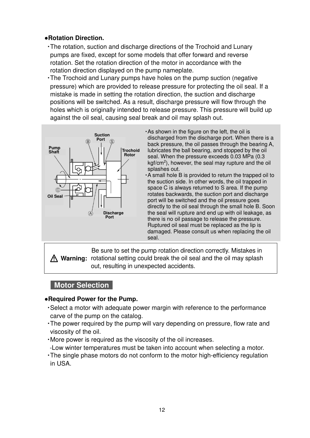## **●Rotation Direction.**

- ・The rotation, suction and discharge directions of the Trochoid and Lunary pumps are fixed, except for some models that offer forward and reverse rotation. Set the rotation direction of the motor in accordance with the rotation direction displayed on the pump nameplate.
- ・The Trochoid and Lunary pumps have holes on the pump suction (negative pressure) which are provided to release pressure for protecting the oil seal. If a mistake is made in setting the rotation direction, the suction and discharge positions will be switched. As a result, discharge pressure will flow through the holes which is originally intended to release pressure. This pressure will build up against the oil seal, causing seal break and oil may splash out.



- ・As shown in the figure on the left, the oil is discharged from the discharge port. When there is a back pressure, the oil passes through the bearing A, lubricates the ball bearing, and stopped by the oil seal. When the pressure exceeds 0.03 MPa (0.3 kgf/cm<sup>2</sup>), however, the seal may rupture and the oil splashes out.
- ・A small hole B is provided to return the trapped oil to the suction side. In other words, the oil trapped in space C is always returned to S area. If the pump rotates backwards, the suction port and discharge port will be switched and the oil pressure goes directly to the oil seal through the small hole B. Soon the seal will rupture and end up with oil leakage, as there is no oil passage to release the pressure. Ruptured oil seal must be replaced as the lip is damaged. Please consult us when replacing the oil seal.

**Warning:** rotational setting could break the oil seal and the oil may splash Be sure to set the pump rotation direction correctly. Mistakes in out, resulting in unexpected accidents.

# **Motor Selection**

- **●Required Power for the Pump.**
- ・Select a motor with adequate power margin with reference to the performance carve of the pump on the catalog.
- ・The power required by the pump will vary depending on pressure, flow rate and viscosity of the oil.
- ・More power is required as the viscosity of the oil increases.
- -Low winter temperatures must be taken into account when selecting a motor.
- ・The single phase motors do not conform to the motor high-efficiency regulation in USA.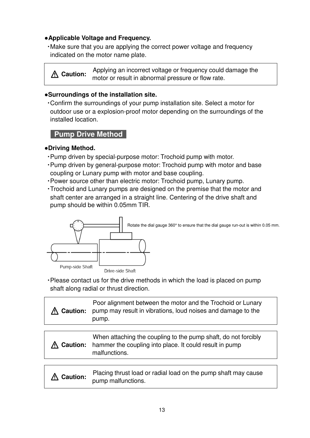## **●Applicable Voltage and Frequency.**

・Make sure that you are applying the correct power voltage and frequency indicated on the motor name plate.

**Caution:** Applying an incorrect voltage or frequency could damage the motor or result in abnormal pressure or flow rate.

## **●Surroundings of the installation site.**

・Confirm the surroundings of your pump installation site. Select a motor for outdoor use or a explosion-proof motor depending on the surroundings of the installed location.

# **Pump Drive Method**

#### **●Driving Method.**

- ・Pump driven by special-purpose motor: Trochoid pump with motor.
- ・Pump driven by general-purpose motor: Trochoid pump with motor and base coupling or Lunary pump with motor and base coupling.
- ・Power source other than electric motor: Trochoid pump, Lunary pump.
- ・Trochoid and Lunary pumps are designed on the premise that the motor and shaft center are arranged in a straight line. Centering of the drive shaft and pump should be within 0.05mm TIR.



・Please contact us for the drive methods in which the load is placed on pump shaft along radial or thrust direction.

| Caution:        | Poor alignment between the motor and the Trochoid or Lunary<br>pump may result in vibrations, loud noises and damage to the<br>pump.       |  |  |  |
|-----------------|--------------------------------------------------------------------------------------------------------------------------------------------|--|--|--|
|                 |                                                                                                                                            |  |  |  |
| <b>Caution:</b> | When attaching the coupling to the pump shaft, do not forcibly<br>hammer the coupling into place. It could result in pump<br>malfunctions. |  |  |  |
|                 |                                                                                                                                            |  |  |  |
| <b>Caution:</b> | Placing thrust load or radial load on the pump shaft may cause<br>pump malfunctions.                                                       |  |  |  |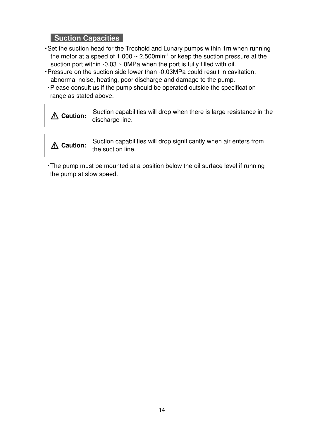# **Suction Capacities**

- ・Set the suction head for the Trochoid and Lunary pumps within 1m when running the motor at a speed of 1,000  $\sim$  2,500min<sup>-1</sup> or keep the suction pressure at the suction port within  $-0.03 \sim 0$ MPa when the port is fully filled with oil.
- ・Pressure on the suction side lower than -0.03MPa could result in cavitation, abnormal noise, heating, poor discharge and damage to the pump.
	- ・Please consult us if the pump should be operated outside the specification range as stated above.

| Suction capabilities will drop when there is large resistance in the |
|----------------------------------------------------------------------|
| <b>A</b> Caution: discharge line.                                    |

**Caution:** Suction capabilities will drop significantly when air enters from the suction line.

・The pump must be mounted at a position below the oil surface level if running the pump at slow speed.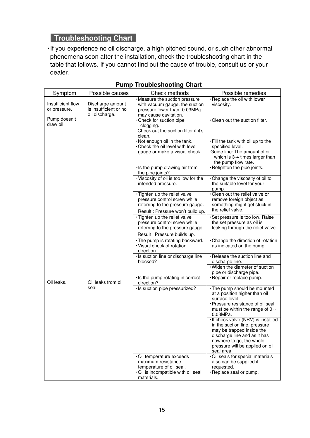# **Troubleshooting Chart**

・If you experience no oil discharge, a high pitched sound, or such other abnormal phenomena soon after the installation, check the troubleshooting chart in the table that follows. If you cannot find out the cause of trouble, consult us or your dealer.

| Symptom                           | Possible causes                                             | Check methods                                                                                                                         | Possible remedies                                                                                                                                                                                              |
|-----------------------------------|-------------------------------------------------------------|---------------------------------------------------------------------------------------------------------------------------------------|----------------------------------------------------------------------------------------------------------------------------------------------------------------------------------------------------------------|
| Insufficient flow<br>or pressure. | Discharge amount<br>is insufficient or no<br>oil discharge. | · Measure the suction pressure<br>with vacuum gauge, the suction<br>pressure lower than -0.03MPa<br>may cause cavitation.             | · Replace the oil with lower<br>viscosity.                                                                                                                                                                     |
| Pump doesn't<br>draw oil.         |                                                             | Check for suction pipe<br>clogging.<br>Check out the suction filter if it's<br>clean.                                                 | .Clean out the suction filter.                                                                                                                                                                                 |
|                                   |                                                             | . Not enough oil in the tank.<br>. Check the oil level with level<br>gauge or make a visual check.                                    | . Fill the tank with oil up to the<br>specified level.<br>Guide line: The amount of oil<br>which is 3-4 times larger than<br>the pump flow rate.                                                               |
|                                   |                                                             | · Is the pump drawing air from<br>the pipe joints?                                                                                    | ·Retighten the pipe joints.                                                                                                                                                                                    |
|                                   |                                                             | · Viscosity of oil is too low for the<br>intended pressure.                                                                           | . Change the viscosity of oil to<br>the suitable level for your<br>pump.                                                                                                                                       |
|                                   |                                                             | · Tighten up the relief valve<br>pressure control screw while<br>referring to the pressure gauge.<br>Result: Pressure won't build up. | . Clean out the relief valve or<br>remove foreign object as<br>something might get stuck in<br>the relief valve.                                                                                               |
|                                   |                                                             | · Tighten up the relief valve<br>pressure control screw while<br>referring to the pressure gauge.                                     | · Set pressure is too low. Raise<br>the set pressure as oil is<br>leaking through the relief valve.                                                                                                            |
|                                   |                                                             | Result : Pressure builds up.<br>. The pump is rotating backward.<br>· Visual check of rotation<br>direction.                          | . Change the direction of rotation<br>as indicated on the pump.                                                                                                                                                |
|                                   |                                                             | · Is suction line or discharge line<br>blocked?                                                                                       | · Release the suction line and<br>discharge line.                                                                                                                                                              |
|                                   |                                                             |                                                                                                                                       | Widen the diameter of suction<br>pipe or discharge pipe.                                                                                                                                                       |
| Oil leaks.                        | Oil leaks from oil                                          | · Is the pump rotating in correct<br>direction?                                                                                       | · Repair or replace pump.                                                                                                                                                                                      |
|                                   | seal.                                                       | · Is suction pipe pressurized?                                                                                                        | . The pump should be mounted<br>at a position higher than oil<br>surface level.<br>· Pressure resistance of oil seal<br>must be within the range of 0 $\sim$<br>$0.03$ MPa.                                    |
|                                   |                                                             |                                                                                                                                       | · If check valve (NRV) is installed<br>in the suction line, pressure<br>may be trapped inside the<br>discharge line and as it has<br>nowhere to go, the whole<br>pressure will be applied on oil<br>seal area. |
|                                   |                                                             | ·Oil temperature exceeds<br>maximum resistance<br>temperature of oil seal.                                                            | · Oil seals for special materials<br>also can be supplied if<br>requested.                                                                                                                                     |
|                                   |                                                             | . Oil is incompatible with oil seal<br>materials.                                                                                     | ·Replace seal or pump.                                                                                                                                                                                         |

## **Pump Troubleshooting Chart**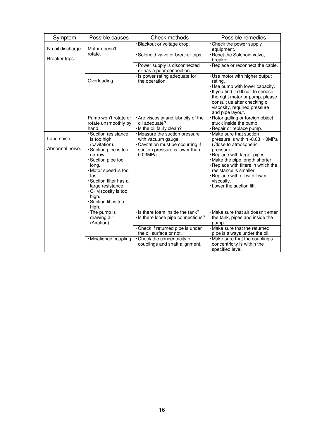| Symptom                        | Possible causes                                                                                                                                                                                                            | Check methods                                                                                                                             | Possible remedies                                                                                                                                                                                                                                                                                                      |
|--------------------------------|----------------------------------------------------------------------------------------------------------------------------------------------------------------------------------------------------------------------------|-------------------------------------------------------------------------------------------------------------------------------------------|------------------------------------------------------------------------------------------------------------------------------------------------------------------------------------------------------------------------------------------------------------------------------------------------------------------------|
| No oil discharge.              | Motor doesn't                                                                                                                                                                                                              | ·Blackout or voltage drop.                                                                                                                | . Check the power supply<br>equipment.                                                                                                                                                                                                                                                                                 |
| Breaker trips.                 | rotate.                                                                                                                                                                                                                    | ·Solenoid valve or breaker trips.                                                                                                         | ·Reset the Solenoid valve,<br>breaker.                                                                                                                                                                                                                                                                                 |
|                                |                                                                                                                                                                                                                            | · Power supply is disconnected<br>or has a poor connection.                                                                               | · Replace or reconnect the cable.                                                                                                                                                                                                                                                                                      |
|                                | Overloading.                                                                                                                                                                                                               | · Is power rating adequate for<br>the operation.                                                                                          | · Use motor with higher output<br>rating.<br>· Use pump with lower capacity.<br>If you find it difficult to choose<br>the right motor or pump, please<br>consult us after checking oil<br>viscosity, required pressure<br>and pipe layout.                                                                             |
|                                | Pump won't rotate or<br>rotate unsmoothly by                                                                                                                                                                               | . Are viscosity and lubricity of the<br>oil adequate?                                                                                     | · Rotor galling or foreign object<br>stuck inside the pump.                                                                                                                                                                                                                                                            |
|                                | hand.                                                                                                                                                                                                                      | · Is the oil fairly clean?                                                                                                                | · Repair or replace pump.                                                                                                                                                                                                                                                                                              |
| Loud noise.<br>Abnormal noise. | ·Suction resistance<br>is too high<br>(cavitation).<br>Suction pipe is too<br>narrow.<br>·Suction pipe too<br>long.<br>·Motor speed is too<br>fast.<br>·Suction filter has a<br>large resistance.<br>.Oil viscosity is too | · Measure the suction pressure<br>with vacuum gauge.<br>. Cavitation must be occurring if<br>suction pressure is lower than -<br>0.03MPa. | . Make sure that suction<br>pressure is within -0.03 $\sim$ 0MPa<br>(Close to atmospheric<br>pressure).<br>· Replace with larger pipes.<br>. Make the pipe length shorter<br>· Replace with filters in which the<br>resistance is smaller.<br>. Replace with oil with lower<br>viscosity.<br>. Lower the suction lift. |
|                                | high.<br>·Suction lift is too<br>high.<br>$\cdot$ The pump is<br>drawing air<br>(Airation).                                                                                                                                | · Is there foam inside the tank?<br>· Is there loose pipe connections?<br>. Check if returned pipe is under                               | Make sure that air doesn't enter<br>the tank, pipes and inside the<br>pump.<br>· Make sure that the returned                                                                                                                                                                                                           |
|                                | ·Misaligned coupling.                                                                                                                                                                                                      | the oil surface or not.<br>•Check the concentricity of<br>couplings and shaft alignment.                                                  | pipe is always under the oil.<br>. Make sure that the coupling's<br>concentricity is within the<br>specified level.                                                                                                                                                                                                    |